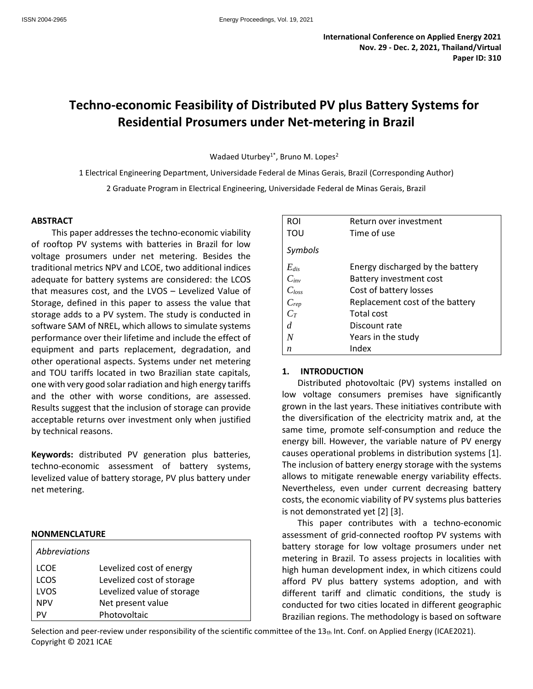# **Techno-economic Feasibility of Distributed PV plus Battery Systems for Residential Prosumers under Net-metering in Brazil**

Wadaed Uturbey<sup>1</sup>\*, Bruno M. Lopes<sup>2</sup>

1 Electrical Engineering Department, Universidade Federal de Minas Gerais, Brazil (Corresponding Author) 2 Graduate Program in Electrical Engineering, Universidade Federal de Minas Gerais, Brazil

#### **ABSTRACT**

This paper addresses the techno-economic viability of rooftop PV systems with batteries in Brazil for low voltage prosumers under net metering. Besides the traditional metrics NPV and LCOE, two additional indices adequate for battery systems are considered: the LCOS that measures cost, and the LVOS – Levelized Value of Storage, defined in this paper to assess the value that storage adds to a PV system. The study is conducted in software SAM of NREL, which allows to simulate systems performance over their lifetime and include the effect of equipment and parts replacement, degradation, and other operational aspects. Systems under net metering and TOU tariffs located in two Brazilian state capitals, one with very good solar radiation and high energy tariffs and the other with worse conditions, are assessed. Results suggest that the inclusion of storage can provide acceptable returns over investment only when justified by technical reasons.

**Keywords:** distributed PV generation plus batteries, techno-economic assessment of battery systems, levelized value of battery storage, PV plus battery under net metering.

#### **NONMENCLATURE**

| Abbreviations |                            |
|---------------|----------------------------|
| <b>LCOE</b>   | Levelized cost of energy   |
| <b>LCOS</b>   | Levelized cost of storage  |
| LVOS          | Levelized value of storage |
| <b>NPV</b>    | Net present value          |
|               | Photovoltaic               |

| <b>ROI</b> | Return over investment           |
|------------|----------------------------------|
| TOU        | Time of use                      |
| Symbols    |                                  |
| $E_{dis}$  | Energy discharged by the battery |
| $C_{inv}$  | <b>Battery investment cost</b>   |
| $C_{loss}$ | Cost of battery losses           |
| $C_{rep}$  | Replacement cost of the battery  |
| $C_T$      | <b>Total cost</b>                |
| d          | Discount rate                    |
| N          | Years in the study               |
| n          | Index                            |

# **1. INTRODUCTION**

Distributed photovoltaic (PV) systems installed on low voltage consumers premises have significantly grown in the last years. These initiatives contribute with the diversification of the electricity matrix and, at the same time, promote self-consumption and reduce the energy bill. However, the variable nature of PV energy causes operational problems in distribution systems [1]. The inclusion of battery energy storage with the systems allows to mitigate renewable energy variability effects. Nevertheless, even under current decreasing battery costs, the economic viability of PV systems plus batteries is not demonstrated yet [2] [3].

This paper contributes with a techno-economic assessment of grid-connected rooftop PV systems with battery storage for low voltage prosumers under net metering in Brazil. To assess projects in localities with high human development index, in which citizens could afford PV plus battery systems adoption, and with different tariff and climatic conditions, the study is conducted for two cities located in different geographic Brazilian regions. The methodology is based on software

Selection and peer-review under responsibility of the scientific committee of the  $13<sub>th</sub>$  Int. Conf. on Applied Energy (ICAE2021). Copyright © 2021 ICAE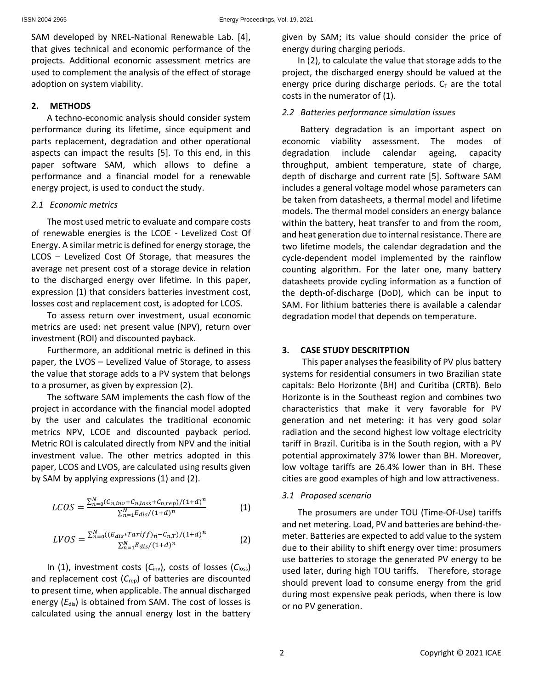SAM developed by NREL-National Renewable Lab. [4], that gives technical and economic performance of the projects. Additional economic assessment metrics are used to complement the analysis of the effect of storage adoption on system viability.

# **2. METHODS**

A techno-economic analysis should consider system performance during its lifetime, since equipment and parts replacement, degradation and other operational aspects can impact the results [5]. To this end, in this paper software SAM, which allows to define a performance and a financial model for a renewable energy project, is used to conduct the study.

#### *2.1 Economic metrics*

The most used metric to evaluate and compare costs of renewable energies is the LCOE - Levelized Cost Of Energy. A similar metric is defined for energy storage, the LCOS – Levelized Cost Of Storage, that measures the average net present cost of a storage device in relation to the discharged energy over lifetime. In this paper, expression (1) that considers batteries investment cost, losses cost and replacement cost, is adopted for LCOS.

To assess return over investment, usual economic metrics are used: net present value (NPV), return over investment (ROI) and discounted payback.

Furthermore, an additional metric is defined in this paper, the LVOS – Levelized Value of Storage, to assess the value that storage adds to a PV system that belongs to a prosumer, as given by expression (2).

The software SAM implements the cash flow of the project in accordance with the financial model adopted by the user and calculates the traditional economic metrics NPV, LCOE and discounted payback period. Metric ROI is calculated directly from NPV and the initial investment value. The other metrics adopted in this paper, LCOS and LVOS, are calculated using results given by SAM by applying expressions (1) and (2).

$$
LCOS = \frac{\sum_{n=0}^{N} (C_{n,inv} + C_{n,loss} + C_{n,rep})/(1+d)^n}{\sum_{n=1}^{N} E_{dis}/(1+d)^n}
$$
(1)

$$
LVOS = \frac{\sum_{n=0}^{N} ((E_{dis} * Tariff)_n - C_{n,T})/(1+d)^n}{\sum_{n=1}^{N} E_{dis}/(1+d)^n}
$$
(2)

In (1), investment costs (*C*inv), costs of losses (*C*loss) and replacement cost (C<sub>rep</sub>) of batteries are discounted to present time, when applicable. The annual discharged energy (E<sub>dis</sub>) is obtained from SAM. The cost of losses is calculated using the annual energy lost in the battery given by SAM; its value should consider the price of energy during charging periods.

In (2), to calculate the value that storage adds to the project, the discharged energy should be valued at the energy price during discharge periods.  $C<sub>T</sub>$  are the total costs in the numerator of (1).

# *2.2 Batteries performance simulation issues*

Battery degradation is an important aspect on economic viability assessment. The modes of degradation include calendar ageing, capacity throughput, ambient temperature, state of charge, depth of discharge and current rate [5]. Software SAM includes a general voltage model whose parameters can be taken from datasheets, a thermal model and lifetime models. The thermal model considers an energy balance within the battery, heat transfer to and from the room, and heat generation due to internal resistance. There are two lifetime models, the calendar degradation and the cycle-dependent model implemented by the rainflow counting algorithm. For the later one, many battery datasheets provide cycling information as a function of the depth-of-discharge (DoD), which can be input to SAM. For lithium batteries there is available a calendar degradation model that depends on temperature.

# **3. CASE STUDY DESCRITPTION**

This paper analyses the feasibility of PV plus battery systems for residential consumers in two Brazilian state capitals: Belo Horizonte (BH) and Curitiba (CRTB). Belo Horizonte is in the Southeast region and combines two characteristics that make it very favorable for PV generation and net metering: it has very good solar radiation and the second highest low voltage electricity tariff in Brazil. Curitiba is in the South region, with a PV potential approximately 37% lower than BH. Moreover, low voltage tariffs are 26.4% lower than in BH. These cities are good examples of high and low attractiveness.

# *3.1 Proposed scenario*

The prosumers are under TOU (Time-Of-Use) tariffs and net metering. Load, PV and batteries are behind-themeter. Batteries are expected to add value to the system due to their ability to shift energy over time: prosumers use batteries to storage the generated PV energy to be used later, during high TOU tariffs. Therefore, storage should prevent load to consume energy from the grid during most expensive peak periods, when there is low or no PV generation.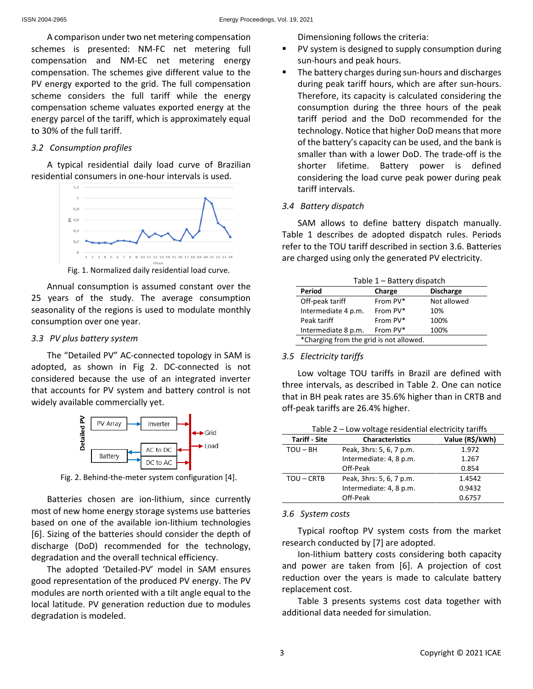A comparison under two net metering compensation schemes is presented: NM-FC net metering full compensation and NM-EC net metering energy compensation. The schemes give different value to the PV energy exported to the grid. The full compensation scheme considers the full tariff while the energy compensation scheme valuates exported energy at the energy parcel of the tariff, which is approximately equal to 30% of the full tariff.

#### *3.2 Consumption profiles*

A typical residential daily load curve of Brazilian residential consumers in one-hour intervals is used.



Annual consumption is assumed constant over the 25 years of the study. The average consumption seasonality of the regions is used to modulate monthly consumption over one year.

#### *3.3 PV plus battery system*

The "Detailed PV" AC-connected topology in SAM is adopted, as shown in Fig 2. DC-connected is not considered because the use of an integrated inverter that accounts for PV system and battery control is not widely available commercially yet.



Fig. 2. Behind-the-meter system configuration [4].

Batteries chosen are ion-lithium, since currently most of new home energy storage systems use batteries based on one of the available ion-lithium technologies [6]. Sizing of the batteries should consider the depth of discharge (DoD) recommended for the technology, degradation and the overall technical efficiency.

The adopted 'Detailed-PV' model in SAM ensures good representation of the produced PV energy. The PV modules are north oriented with a tilt angle equal to the local latitude. PV generation reduction due to modules degradation is modeled.

Dimensioning follows the criteria:

- PV system is designed to supply consumption during sun-hours and peak hours.
- The battery charges during sun-hours and discharges during peak tariff hours, which are after sun-hours. Therefore, its capacity is calculated considering the consumption during the three hours of the peak tariff period and the DoD recommended for the technology. Notice that higher DoD means that more of the battery's capacity can be used, and the bank is smaller than with a lower DoD. The trade-off is the shorter lifetime. Battery power is defined considering the load curve peak power during peak tariff intervals.

# *3.4 Battery dispatch*

SAM allows to define battery dispatch manually. Table 1 describes de adopted dispatch rules. Periods refer to the TOU tariff described in section 3.6. Batteries are charged using only the generated PV electricity.

| Charge   |                                         |
|----------|-----------------------------------------|
|          | <b>Discharge</b>                        |
| From PV* | Not allowed                             |
| From PV* | 10%                                     |
| From PV* | 100%                                    |
| From PV* | 100%                                    |
|          | *Charging from the grid is not allowed. |

# *3.5 Electricity tariffs*

Low voltage TOU tariffs in Brazil are defined with three intervals, as described in Table 2. One can notice that in BH peak rates are 35.6% higher than in CRTB and off-peak tariffs are 26.4% higher.

Table 2 – Low voltage residential electricity tariffs

| <b>Tariff - Site</b> | <b>Characteristics</b>   | Value (R\$/kWh) |
|----------------------|--------------------------|-----------------|
| $TOU - BH$           | Peak, 3hrs: 5, 6, 7 p.m. | 1.972           |
|                      | Intermediate: 4, 8 p.m.  | 1.267           |
|                      | Off-Peak                 | 0.854           |
| TOU - CRTB           | Peak, 3hrs: 5, 6, 7 p.m. | 1.4542          |
|                      | Intermediate: 4, 8 p.m.  | 0.9432          |
|                      | Off-Peak                 | 0.6757          |

#### *3.6 System costs*

Typical rooftop PV system costs from the market research conducted by [7] are adopted.

Ion-lithium battery costs considering both capacity and power are taken from [6]. A projection of cost reduction over the years is made to calculate battery replacement cost.

Table 3 presents systems cost data together with additional data needed for simulation.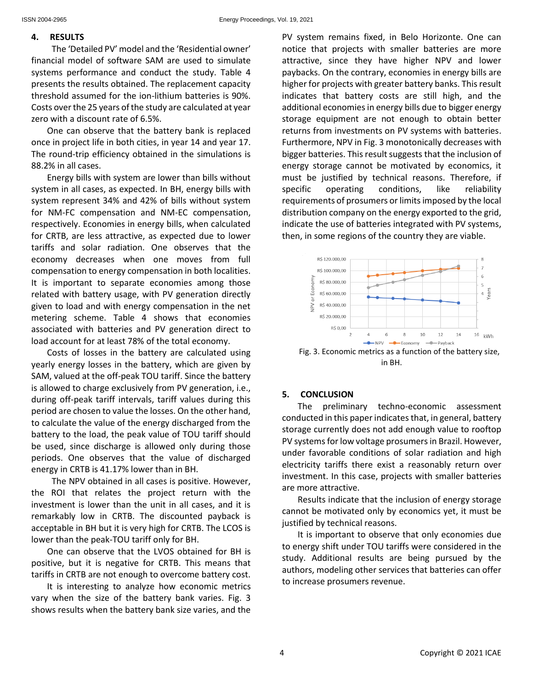#### **4. RESULTS**

The 'Detailed PV' model and the 'Residential owner' financial model of software SAM are used to simulate systems performance and conduct the study. Table 4 presents the results obtained. The replacement capacity threshold assumed for the ion-lithium batteries is 90%. Costs over the 25 years of the study are calculated at year zero with a discount rate of 6.5%.

One can observe that the battery bank is replaced once in project life in both cities, in year 14 and year 17. The round-trip efficiency obtained in the simulations is 88.2% in all cases.

Energy bills with system are lower than bills without system in all cases, as expected. In BH, energy bills with system represent 34% and 42% of bills without system for NM-FC compensation and NM-EC compensation, respectively. Economies in energy bills, when calculated for CRTB, are less attractive, as expected due to lower tariffs and solar radiation. One observes that the economy decreases when one moves from full compensation to energy compensation in both localities. It is important to separate economies among those related with battery usage, with PV generation directly given to load and with energy compensation in the net metering scheme. Table 4 shows that economies associated with batteries and PV generation direct to load account for at least 78% of the total economy.

Costs of losses in the battery are calculated using yearly energy losses in the battery, which are given by SAM, valued at the off-peak TOU tariff. Since the battery is allowed to charge exclusively from PV generation, i.e., during off-peak tariff intervals, tariff values during this period are chosen to value the losses. On the other hand, to calculate the value of the energy discharged from the battery to the load, the peak value of TOU tariff should be used, since discharge is allowed only during those periods. One observes that the value of discharged energy in CRTB is 41.17% lower than in BH.

The NPV obtained in all cases is positive. However, the ROI that relates the project return with the investment is lower than the unit in all cases, and it is remarkably low in CRTB. The discounted payback is acceptable in BH but it is very high for CRTB. The LCOS is lower than the peak-TOU tariff only for BH.

One can observe that the LVOS obtained for BH is positive, but it is negative for CRTB. This means that tariffs in CRTB are not enough to overcome battery cost.

It is interesting to analyze how economic metrics vary when the size of the battery bank varies. Fig. 3 shows results when the battery bank size varies, and the PV system remains fixed, in Belo Horizonte. One can notice that projects with smaller batteries are more attractive, since they have higher NPV and lower paybacks. On the contrary, economies in energy bills are higher for projects with greater battery banks. This result indicates that battery costs are still high, and the additional economies in energy bills due to bigger energy storage equipment are not enough to obtain better returns from investments on PV systems with batteries. Furthermore, NPV in Fig. 3 monotonically decreases with bigger batteries. This result suggests that the inclusion of energy storage cannot be motivated by economics, it must be justified by technical reasons. Therefore, if specific operating conditions, like reliability requirements of prosumers or limits imposed by the local distribution company on the energy exported to the grid, indicate the use of batteries integrated with PV systems, then, in some regions of the country they are viable.



# **5. CONCLUSION**

The preliminary techno-economic assessment conducted in this paper indicates that, in general, battery storage currently does not add enough value to rooftop PV systems for low voltage prosumers in Brazil. However, under favorable conditions of solar radiation and high electricity tariffs there exist a reasonably return over investment. In this case, projects with smaller batteries are more attractive.

Results indicate that the inclusion of energy storage cannot be motivated only by economics yet, it must be justified by technical reasons.

It is important to observe that only economies due to energy shift under TOU tariffs were considered in the study. Additional results are being pursued by the authors, modeling other services that batteries can offer to increase prosumers revenue.